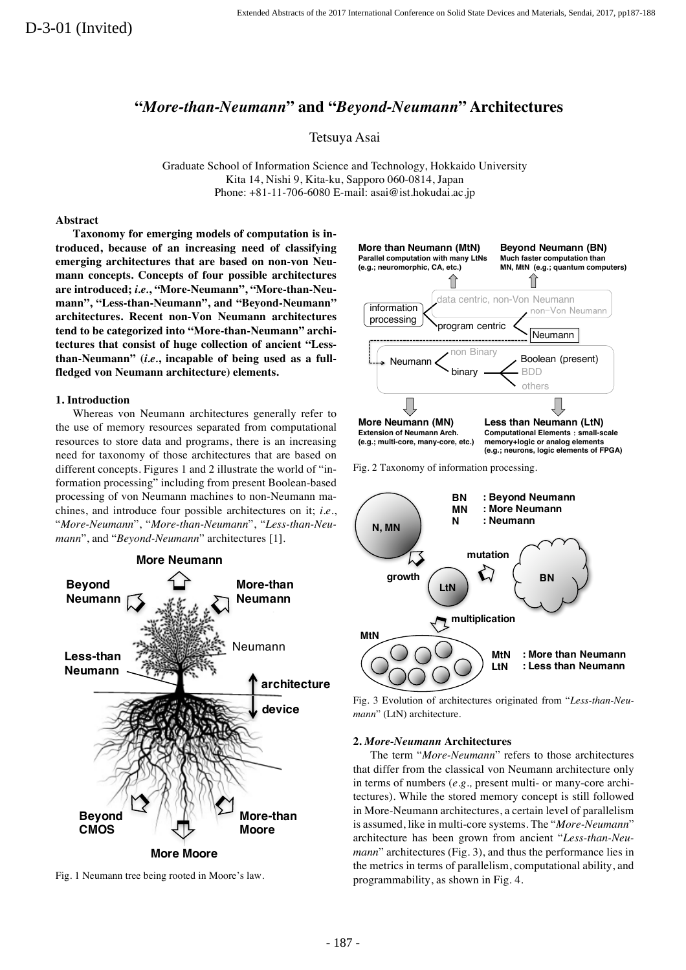# **"***More-than-Neumann***" and "***Beyond-Neumann***" Architectures**

Tetsuya Asai

Graduate School of Information Science and Technology, Hokkaido University Kita 14, Nishi 9, Kita-ku, Sapporo 060-0814, Japan Phone: +81-11-706-6080 E-mail: asai@ist.hokudai.ac.jp

## **Abstract**

**Taxonomy for emerging models of computation is introduced, because of an increasing need of classifying emerging architectures that are based on non-von Neumann concepts. Concepts of four possible architectures are introduced;** *i.e.***, "More-Neumann", "More-than-Neumann", "Less-than-Neumann", and "Beyond-Neumann" architectures. Recent non-Von Neumann architectures tend to be categorized into "More-than-Neumann" architectures that consist of huge collection of ancient "Lessthan-Neumann" (***i.e.***, incapable of being used as a fullfledged von Neumann architecture) elements.**

### **1. Introduction**

Whereas von Neumann architectures generally refer to the use of memory resources separated from computational resources to store data and programs, there is an increasing need for taxonomy of those architectures that are based on different concepts. Figures 1 and 2 illustrate the world of "information processing" including from present Boolean-based processing of von Neumann machines to non-Neumann machines, and introduce four possible architectures on it; *i.e.*, "*More-Neumann*", "*More-than-Neumann*", "*Less-than-Neumann*", and "*Beyond-Neumann*" architectures [1].





Fig. 1 Neumann tree being rooted in Moore's law.



Fig. 2 Taxonomy of information processing.



Fig. 3 Evolution of architectures originated from "*Less-than-Neumann*" (LtN) architecture.

### **2.** *More-Neumann* **Architectures**

The term "*More-Neumann*" refers to those architectures that differ from the classical von Neumann architecture only in terms of numbers (*e.g.,* present multi- or many-core architectures). While the stored memory concept is still followed in More-Neumann architectures, a certain level of parallelism is assumed, like in multi-core systems. The "*More-Neumann*" architecture has been grown from ancient "*Less-than-Neumann*" architectures (Fig. 3), and thus the performance lies in the metrics in terms of parallelism, computational ability, and programmability, as shown in Fig. 4.